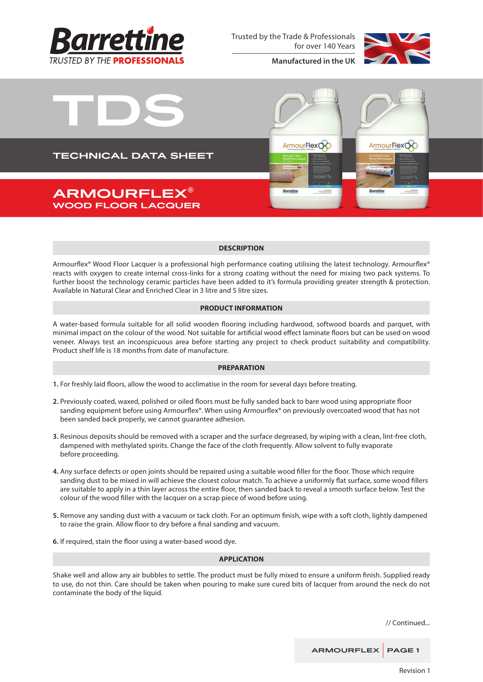

Trusted by the Trade & Professionals for over 140 Years



**Manufactured in the UK**



### **DESCRIPTION**

Armourflex® Wood Floor Lacquer is a professional high performance coating utilising the latest technology. Armourflex® reacts with oxygen to create internal cross-links for a strong coating without the need for mixing two pack systems. To further boost the technology ceramic particles have been added to it's formula providing greater strength & protection. Available in Natural Clear and Enriched Clear in 3 litre and 5 litre sizes.

# **PRODUCT INFORMATION**

A water-based formula suitable for all solid wooden flooring including hardwood, softwood boards and parquet, with minimal impact on the colour of the wood. Not suitable for artificial wood effect laminate floors but can be used on wood veneer. Always test an inconspicuous area before starting any project to check product suitability and compatibility. Product shelf life is 18 months from date of manufacture.

### **PREPARATION**

**1.** For freshly laid floors, allow the wood to acclimatise in the room for several days before treating.

- **2.** Previously coated, waxed, polished or oiled floors must be fully sanded back to bare wood using appropriate floor sanding equipment before using Armourflex®. When using Armourflex® on previously overcoated wood that has not been sanded back properly, we cannot guarantee adhesion.
- **3.** Resinous deposits should be removed with a scraper and the surface degreased, by wiping with a clean, lint-free cloth, dampened with methylated spirits. Change the face of the cloth frequently. Allow solvent to fully evaporate before proceeding.
- **4.** Any surface defects or open joints should be repaired using a suitable wood filler for the floor. Those which require sanding dust to be mixed in will achieve the closest colour match. To achieve a uniformly flat surface, some wood fillers are suitable to apply in a thin layer across the entire floor, then sanded back to reveal a smooth surface below. Test the colour of the wood filler with the lacquer on a scrap piece of wood before using.
- **5.** Remove any sanding dust with a vacuum or tack cloth. For an optimum finish, wipe with a soft cloth, lightly dampened to raise the grain. Allow floor to dry before a final sanding and vacuum.
- **6.** If required, stain the floor using a water-based wood dye.

### **APPLICATION**

Shake well and allow any air bubbles to settle. The product must be fully mixed to ensure a uniform finish. Supplied ready to use, do not thin. Care should be taken when pouring to make sure cured bits of lacquer from around the neck do not contaminate the body of the liquid.

// Continued...

ARMOURFLEX PAGE 1